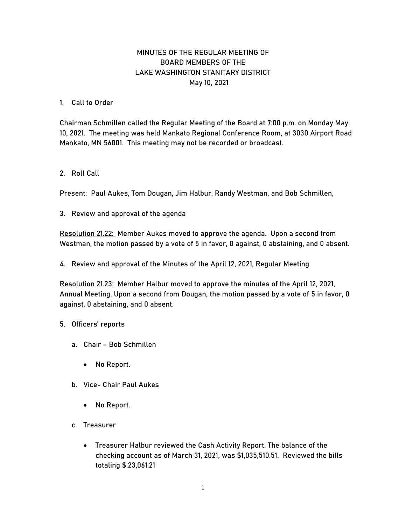## MINUTES OF THE REGULAR MEETING OF BOARD MEMBERS OF THE LAKE WASHINGTON STANITARY DISTRICT May 10, 2021

## 1. Call to Order

Chairman Schmillen called the Regular Meeting of the Board at 7:00 p.m. on Monday May 10, 2021. The meeting was held Mankato Regional Conference Room, at 3030 Airport Road Mankato, MN 56001. This meeting may not be recorded or broadcast.

## 2. Roll Call

Present: Paul Aukes, Tom Dougan, Jim Halbur, Randy Westman, and Bob Schmillen,

3. Review and approval of the agenda

Resolution 21.22: Member Aukes moved to approve the agenda. Upon a second from Westman, the motion passed by a vote of 5 in favor, 0 against, 0 abstaining, and 0 absent.

4. Review and approval of the Minutes of the April 12, 2021, Regular Meeting

Resolution 21.23: Member Halbur moved to approve the minutes of the April 12, 2021, Annual Meeting. Upon a second from Dougan, the motion passed by a vote of 5 in favor, 0 against, 0 abstaining, and 0 absent.

## 5. Officers' reports

- a. Chair Bob Schmillen
	- No Report.
- b. Vice- Chair Paul Aukes
	- No Report.
- c. Treasurer
	- Treasurer Halbur reviewed the Cash Activity Report. The balance of the checking account as of March 31, 2021, was \$1,035,510.51. Reviewed the bills totaling \$.23,061.21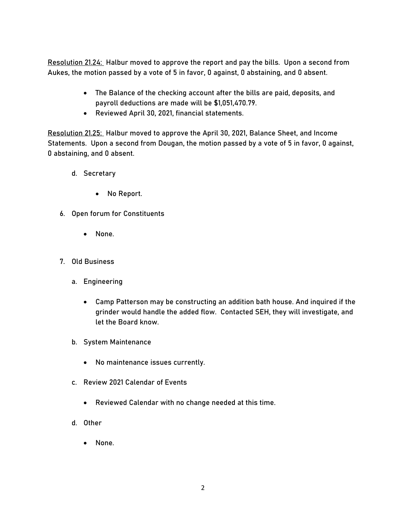Resolution 21.24: Halbur moved to approve the report and pay the bills. Upon a second from Aukes, the motion passed by a vote of 5 in favor, 0 against, 0 abstaining, and 0 absent.

- The Balance of the checking account after the bills are paid, deposits, and payroll deductions are made will be \$1,051,470.79.
- Reviewed April 30, 2021, financial statements.

Resolution 21.25: Halbur moved to approve the April 30, 2021, Balance Sheet, and Income Statements. Upon a second from Dougan, the motion passed by a vote of 5 in favor, 0 against, 0 abstaining, and 0 absent.

- d. Secretary
	- No Report.
- 6. Open forum for Constituents
	- None.
- 7. Old Business
	- a. Engineering
		- Camp Patterson may be constructing an addition bath house. And inquired if the grinder would handle the added flow. Contacted SEH, they will investigate, and let the Board know.
	- b. System Maintenance
		- No maintenance issues currently.
	- c. Review 2021 Calendar of Events
		- Reviewed Calendar with no change needed at this time.
	- d. Other
		- None.